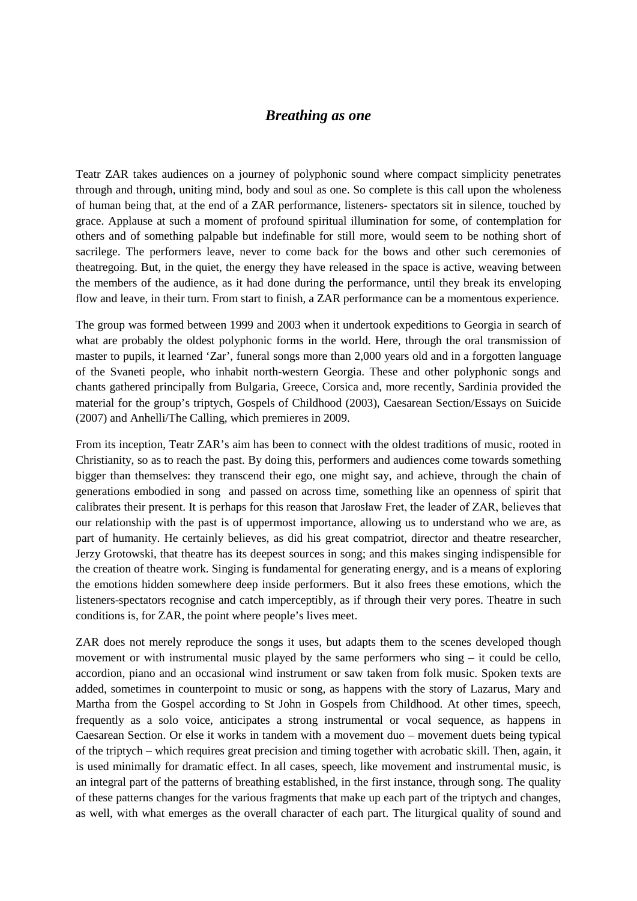## *Breathing as one*

Teatr ZAR takes audiences on a journey of polyphonic sound where compact simplicity penetrates through and through, uniting mind, body and soul as one. So complete is this call upon the wholeness of human being that, at the end of a ZAR performance, listeners- spectators sit in silence, touched by grace. Applause at such a moment of profound spiritual illumination for some, of contemplation for others and of something palpable but indefinable for still more, would seem to be nothing short of sacrilege. The performers leave, never to come back for the bows and other such ceremonies of theatregoing. But, in the quiet, the energy they have released in the space is active, weaving between the members of the audience, as it had done during the performance, until they break its enveloping flow and leave, in their turn. From start to finish, a ZAR performance can be a momentous experience.

The group was formed between 1999 and 2003 when it undertook expeditions to Georgia in search of what are probably the oldest polyphonic forms in the world. Here, through the oral transmission of master to pupils, it learned 'Zar', funeral songs more than 2,000 years old and in a forgotten language of the Svaneti people, who inhabit north-western Georgia. These and other polyphonic songs and chants gathered principally from Bulgaria, Greece, Corsica and, more recently, Sardinia provided the material for the group's triptych, Gospels of Childhood (2003), Caesarean Section/Essays on Suicide (2007) and Anhelli/The Calling, which premieres in 2009.

From its inception, Teatr ZAR's aim has been to connect with the oldest traditions of music, rooted in Christianity, so as to reach the past. By doing this, performers and audiences come towards something bigger than themselves: they transcend their ego, one might say, and achieve, through the chain of generations embodied in song and passed on across time, something like an openness of spirit that calibrates their present. It is perhaps for this reason that Jarosław Fret, the leader of ZAR, believes that our relationship with the past is of uppermost importance, allowing us to understand who we are, as part of humanity. He certainly believes, as did his great compatriot, director and theatre researcher, Jerzy Grotowski, that theatre has its deepest sources in song; and this makes singing indispensible for the creation of theatre work. Singing is fundamental for generating energy, and is a means of exploring the emotions hidden somewhere deep inside performers. But it also frees these emotions, which the listeners-spectators recognise and catch imperceptibly, as if through their very pores. Theatre in such conditions is, for ZAR, the point where people's lives meet.

ZAR does not merely reproduce the songs it uses, but adapts them to the scenes developed though movement or with instrumental music played by the same performers who sing – it could be cello, accordion, piano and an occasional wind instrument or saw taken from folk music. Spoken texts are added, sometimes in counterpoint to music or song, as happens with the story of Lazarus, Mary and Martha from the Gospel according to St John in Gospels from Childhood. At other times, speech, frequently as a solo voice, anticipates a strong instrumental or vocal sequence, as happens in Caesarean Section. Or else it works in tandem with a movement duo – movement duets being typical of the triptych – which requires great precision and timing together with acrobatic skill. Then, again, it is used minimally for dramatic effect. In all cases, speech, like movement and instrumental music, is an integral part of the patterns of breathing established, in the first instance, through song. The quality of these patterns changes for the various fragments that make up each part of the triptych and changes, as well, with what emerges as the overall character of each part. The liturgical quality of sound and